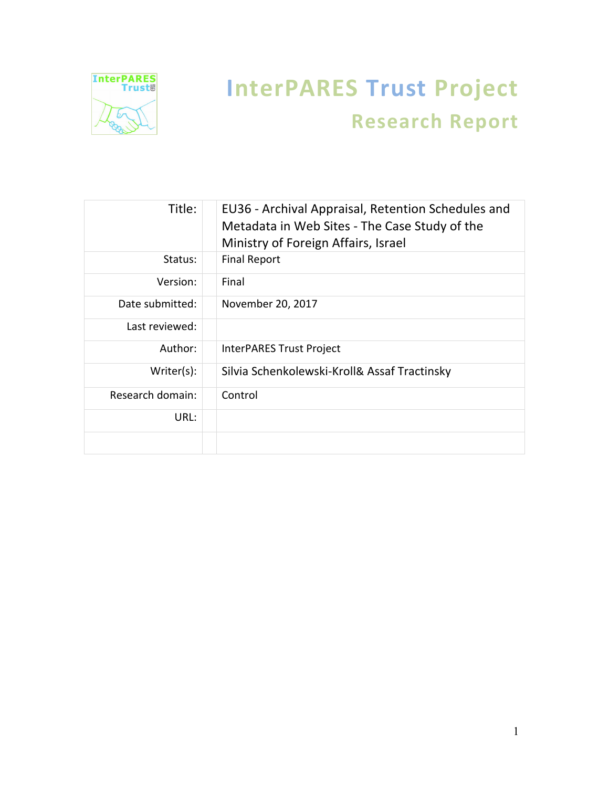

# **InterPARES Trust Project Research Report**

| Title:           | EU36 - Archival Appraisal, Retention Schedules and<br>Metadata in Web Sites - The Case Study of the<br>Ministry of Foreign Affairs, Israel |
|------------------|--------------------------------------------------------------------------------------------------------------------------------------------|
| Status:          | <b>Final Report</b>                                                                                                                        |
| Version:         | Final                                                                                                                                      |
| Date submitted:  | November 20, 2017                                                                                                                          |
| Last reviewed:   |                                                                                                                                            |
| Author:          | InterPARES Trust Project                                                                                                                   |
| Writer(s):       | Silvia Schenkolewski-Kroll& Assaf Tractinsky                                                                                               |
| Research domain: | Control                                                                                                                                    |
| URL:             |                                                                                                                                            |
|                  |                                                                                                                                            |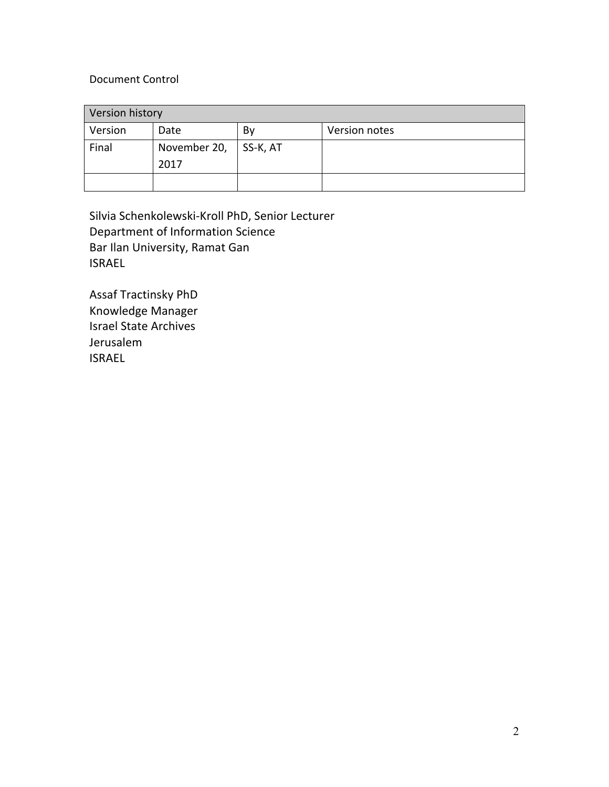#### Document Control

| Version history |              |          |               |  |
|-----------------|--------------|----------|---------------|--|
| Version         | Date         | By       | Version notes |  |
| Final           | November 20, | SS-K, AT |               |  |
|                 | 2017         |          |               |  |
|                 |              |          |               |  |

Silvia Schenkolewski-Kroll PhD, Senior Lecturer Department of Information Science Bar Ilan University, Ramat Gan ISRAEL

Assaf Tractinsky PhD Knowledge Manager Israel State Archives Jerusalem ISRAEL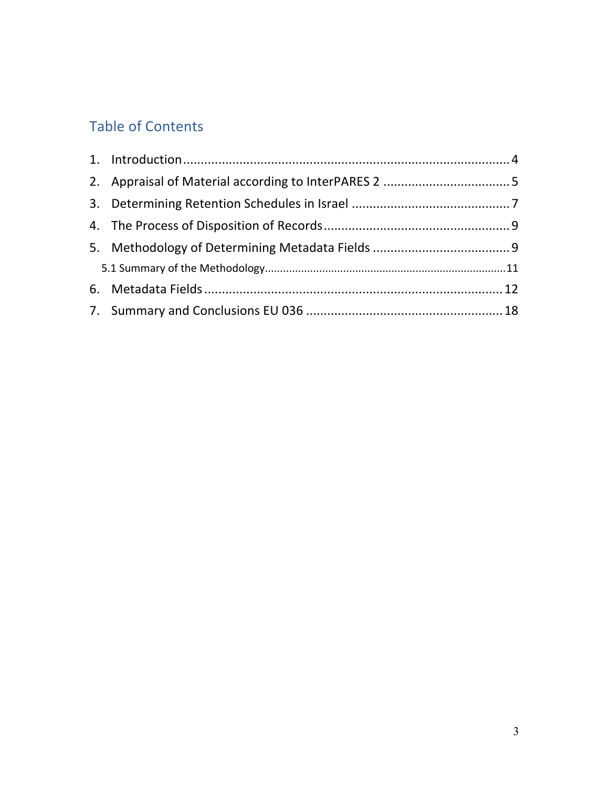# Table of Contents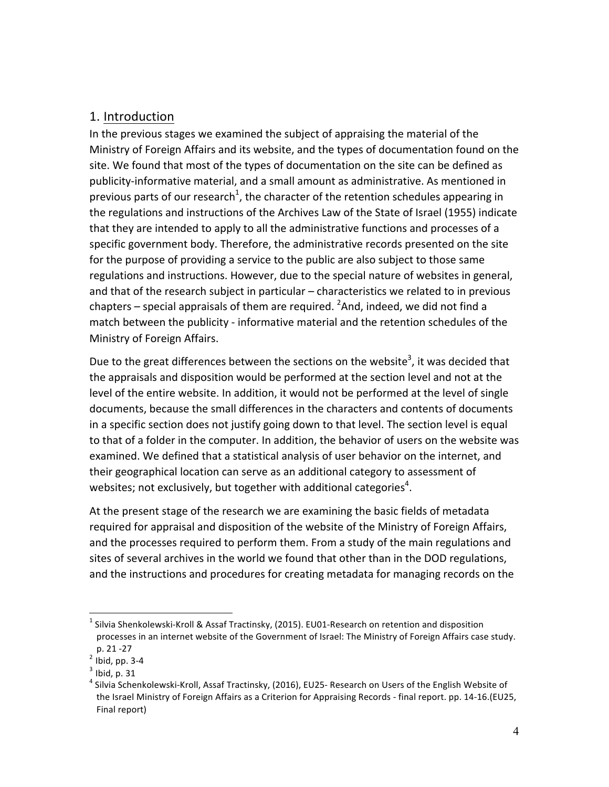# 1. Introduction

In the previous stages we examined the subject of appraising the material of the Ministry of Foreign Affairs and its website, and the types of documentation found on the site. We found that most of the types of documentation on the site can be defined as publicity-informative material, and a small amount as administrative. As mentioned in previous parts of our research<sup>1</sup>, the character of the retention schedules appearing in the regulations and instructions of the Archives Law of the State of Israel (1955) indicate that they are intended to apply to all the administrative functions and processes of a specific government body. Therefore, the administrative records presented on the site for the purpose of providing a service to the public are also subject to those same regulations and instructions. However, due to the special nature of websites in general, and that of the research subject in particular  $-$  characteristics we related to in previous chapters – special appraisals of them are required.  ${}^{2}$ And, indeed, we did not find a match between the publicity - informative material and the retention schedules of the Ministry of Foreign Affairs.

Due to the great differences between the sections on the website<sup>3</sup>, it was decided that the appraisals and disposition would be performed at the section level and not at the level of the entire website. In addition, it would not be performed at the level of single documents, because the small differences in the characters and contents of documents in a specific section does not justify going down to that level. The section level is equal to that of a folder in the computer. In addition, the behavior of users on the website was examined. We defined that a statistical analysis of user behavior on the internet, and their geographical location can serve as an additional category to assessment of websites; not exclusively, but together with additional categories<sup>4</sup>.

At the present stage of the research we are examining the basic fields of metadata required for appraisal and disposition of the website of the Ministry of Foreign Affairs, and the processes required to perform them. From a study of the main regulations and sites of several archives in the world we found that other than in the DOD regulations, and the instructions and procedures for creating metadata for managing records on the

 $1$  Silvia Shenkolewski-Kroll & Assaf Tractinsky, (2015). EU01-Research on retention and disposition processes in an internet website of the Government of Israel: The Ministry of Foreign Affairs case study.

p. 21 -27<br> $^2$  Ibid, pp. 3-4<br> $^3$  Ibid, p. 31

 $^4$  Silvia Schenkolewski-Kroll, Assaf Tractinsky, (2016), EU25- Research on Users of the English Website of the Israel Ministry of Foreign Affairs as a Criterion for Appraising Records - final report. pp. 14-16.(EU25, Final report)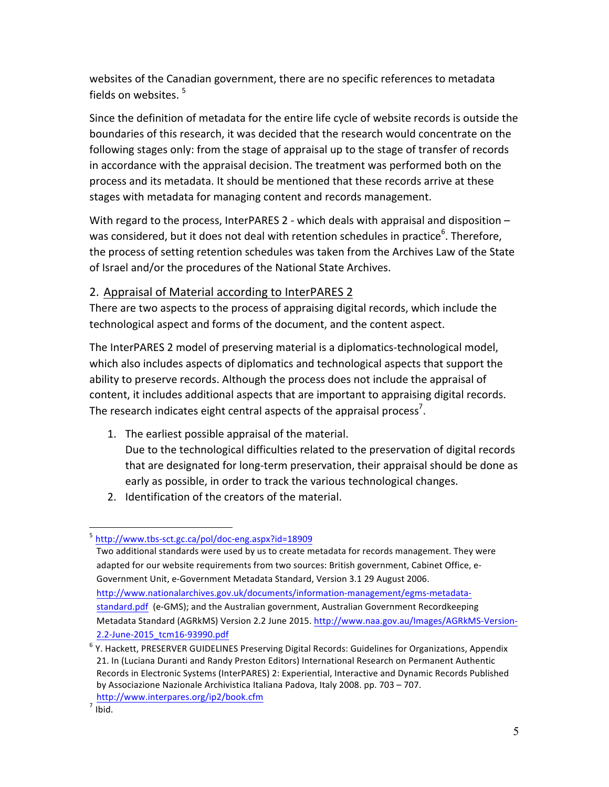websites of the Canadian government, there are no specific references to metadata fields on websites.  $5$ 

Since the definition of metadata for the entire life cycle of website records is outside the boundaries of this research, it was decided that the research would concentrate on the following stages only: from the stage of appraisal up to the stage of transfer of records in accordance with the appraisal decision. The treatment was performed both on the process and its metadata. It should be mentioned that these records arrive at these stages with metadata for managing content and records management.

With regard to the process, InterPARES 2 - which deals with appraisal and disposition  $$ was considered, but it does not deal with retention schedules in practice<sup>6</sup>. Therefore, the process of setting retention schedules was taken from the Archives Law of the State of Israel and/or the procedures of the National State Archives.

## 2. Appraisal of Material according to InterPARES 2

There are two aspects to the process of appraising digital records, which include the technological aspect and forms of the document, and the content aspect.

The InterPARES 2 model of preserving material is a diplomatics-technological model, which also includes aspects of diplomatics and technological aspects that support the ability to preserve records. Although the process does not include the appraisal of content, it includes additional aspects that are important to appraising digital records. The research indicates eight central aspects of the appraisal process<sup>7</sup>.

- 1. The earliest possible appraisal of the material.
- Due to the technological difficulties related to the preservation of digital records that are designated for long-term preservation, their appraisal should be done as early as possible, in order to track the various technological changes.
- 2. Identification of the creators of the material.

<sup>5</sup> http://www.tbs-sct.gc.ca/pol/doc-eng.aspx?id=18909

Two additional standards were used by us to create metadata for records management. They were adapted for our website requirements from two sources: British government, Cabinet Office, e-Government Unit, e-Government Metadata Standard, Version 3.1 29 August 2006. http://www.nationalarchives.gov.uk/documents/information-management/egms-metadatastandard.pdf (e-GMS); and the Australian government, Australian Government Recordkeeping Metadata Standard (AGRkMS) Version 2.2 June 2015. http://www.naa.gov.au/Images/AGRkMS-Version-2.2-June-2015\_tcm16-93990.pdf

 $6$  Y. Hackett, PRESERVER GUIDELINES Preserving Digital Records: Guidelines for Organizations, Appendix 21. In (Luciana Duranti and Randy Preston Editors) International Research on Permanent Authentic Records in Electronic Systems (InterPARES) 2: Experiential, Interactive and Dynamic Records Published by Associazione Nazionale Archivistica Italiana Padova, Italy 2008. pp. 703 – 707. 7 http://www.interpares.org/ip2/book.cfm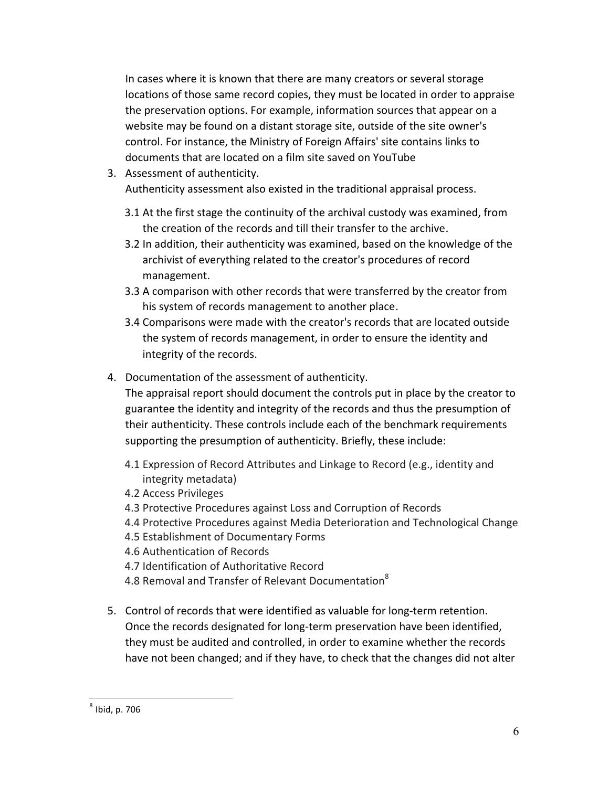In cases where it is known that there are many creators or several storage locations of those same record copies, they must be located in order to appraise the preservation options. For example, information sources that appear on a website may be found on a distant storage site, outside of the site owner's control. For instance, the Ministry of Foreign Affairs' site contains links to documents that are located on a film site saved on YouTube

3. Assessment of authenticity.

Authenticity assessment also existed in the traditional appraisal process.

- 3.1 At the first stage the continuity of the archival custody was examined, from the creation of the records and till their transfer to the archive.
- 3.2 In addition, their authenticity was examined, based on the knowledge of the archivist of everything related to the creator's procedures of record management.
- 3.3 A comparison with other records that were transferred by the creator from his system of records management to another place.
- 3.4 Comparisons were made with the creator's records that are located outside the system of records management, in order to ensure the identity and integrity of the records.
- 4. Documentation of the assessment of authenticity.

The appraisal report should document the controls put in place by the creator to guarantee the identity and integrity of the records and thus the presumption of their authenticity. These controls include each of the benchmark requirements supporting the presumption of authenticity. Briefly, these include:

- 4.1 Expression of Record Attributes and Linkage to Record (e.g., identity and integrity metadata)
- 4.2 Access Privileges
- 4.3 Protective Procedures against Loss and Corruption of Records
- 4.4 Protective Procedures against Media Deterioration and Technological Change
- 4.5 Establishment of Documentary Forms
- 4.6 Authentication of Records
- 4.7 Identification of Authoritative Record
- 4.8 Removal and Transfer of Relevant Documentation<sup>8</sup>
- 5. Control of records that were identified as valuable for long-term retention. Once the records designated for long-term preservation have been identified, they must be audited and controlled, in order to examine whether the records have not been changed; and if they have, to check that the changes did not alter

 $8$  Ibid, p. 706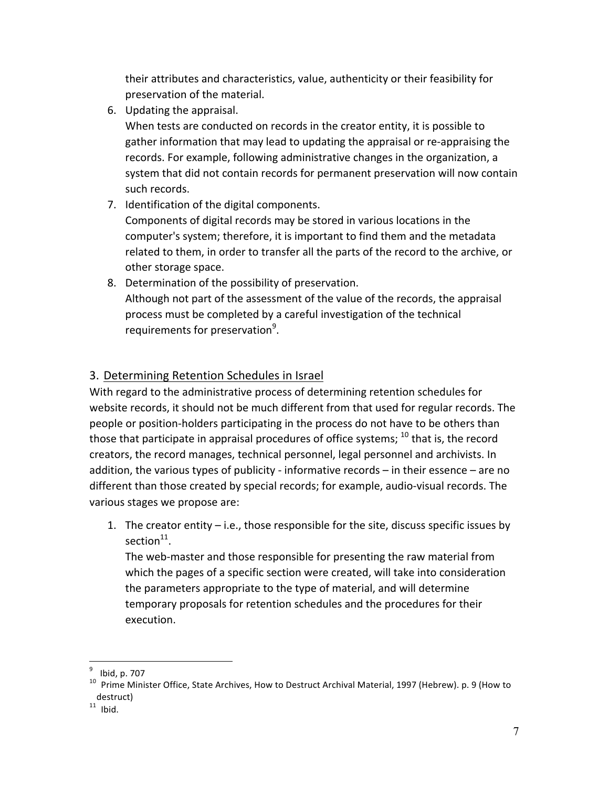their attributes and characteristics, value, authenticity or their feasibility for preservation of the material.

6. Updating the appraisal.

When tests are conducted on records in the creator entity, it is possible to gather information that may lead to updating the appraisal or re-appraising the records. For example, following administrative changes in the organization, a system that did not contain records for permanent preservation will now contain such records.

7. Identification of the digital components.

Components of digital records may be stored in various locations in the computer's system; therefore, it is important to find them and the metadata related to them, in order to transfer all the parts of the record to the archive, or other storage space.

8. Determination of the possibility of preservation. Although not part of the assessment of the value of the records, the appraisal process must be completed by a careful investigation of the technical requirements for preservation<sup>9</sup>.

# 3. Determining Retention Schedules in Israel

With regard to the administrative process of determining retention schedules for website records, it should not be much different from that used for regular records. The people or position-holders participating in the process do not have to be others than those that participate in appraisal procedures of office systems;  $^{10}$  that is, the record creators, the record manages, technical personnel, legal personnel and archivists. In addition, the various types of publicity - informative records  $-$  in their essence  $-$  are no different than those created by special records; for example, audio-visual records. The various stages we propose are:

1. The creator entity  $-$  i.e., those responsible for the site, discuss specific issues by section<sup>11</sup>.

The web-master and those responsible for presenting the raw material from which the pages of a specific section were created, will take into consideration the parameters appropriate to the type of material, and will determine temporary proposals for retention schedules and the procedures for their execution.

<sup>&</sup>lt;sup>9</sup> Ibid, p. 707<br><sup>10</sup> Prime Minister Office, State Archives, How to Destruct Archival Material, 1997 (Hebrew). p. 9 (How to destruct)

 $11$  Ibid.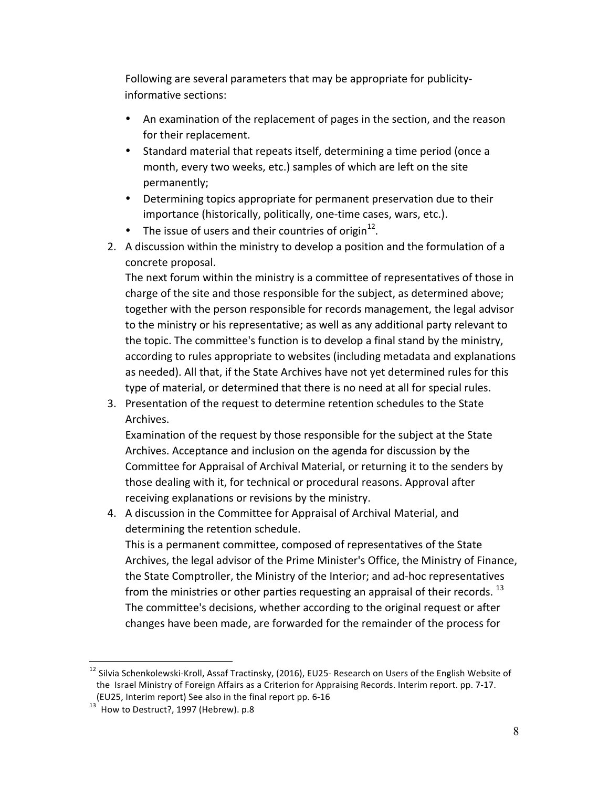Following are several parameters that may be appropriate for publicityinformative sections:

- An examination of the replacement of pages in the section, and the reason for their replacement.
- Standard material that repeats itself, determining a time period (once a month, every two weeks, etc.) samples of which are left on the site permanently;
- Determining topics appropriate for permanent preservation due to their importance (historically, politically, one-time cases, wars, etc.).
- The issue of users and their countries of origin<sup>12</sup>.
- 2. A discussion within the ministry to develop a position and the formulation of a concrete proposal.

The next forum within the ministry is a committee of representatives of those in charge of the site and those responsible for the subject, as determined above; together with the person responsible for records management, the legal advisor to the ministry or his representative; as well as any additional party relevant to the topic. The committee's function is to develop a final stand by the ministry, according to rules appropriate to websites (including metadata and explanations as needed). All that, if the State Archives have not yet determined rules for this type of material, or determined that there is no need at all for special rules.

3. Presentation of the request to determine retention schedules to the State Archives.

Examination of the request by those responsible for the subject at the State Archives. Acceptance and inclusion on the agenda for discussion by the Committee for Appraisal of Archival Material, or returning it to the senders by those dealing with it, for technical or procedural reasons. Approval after receiving explanations or revisions by the ministry.

4. A discussion in the Committee for Appraisal of Archival Material, and determining the retention schedule. This is a permanent committee, composed of representatives of the State Archives, the legal advisor of the Prime Minister's Office, the Ministry of Finance, the State Comptroller, the Ministry of the Interior; and ad-hoc representatives from the ministries or other parties requesting an appraisal of their records.  $^{13}$ The committee's decisions, whether according to the original request or after changes have been made, are forwarded for the remainder of the process for

<sup>&</sup>lt;sup>12</sup> Silvia Schenkolewski-Kroll, Assaf Tractinsky, (2016), EU25- Research on Users of the English Website of the Israel Ministry of Foreign Affairs as a Criterion for Appraising Records. Interim report. pp. 7-17. (EU25, Interim report) See also in the final report pp. 6-16  $^{13}$  How to Destruct?, 1997 (Hebrew). p.8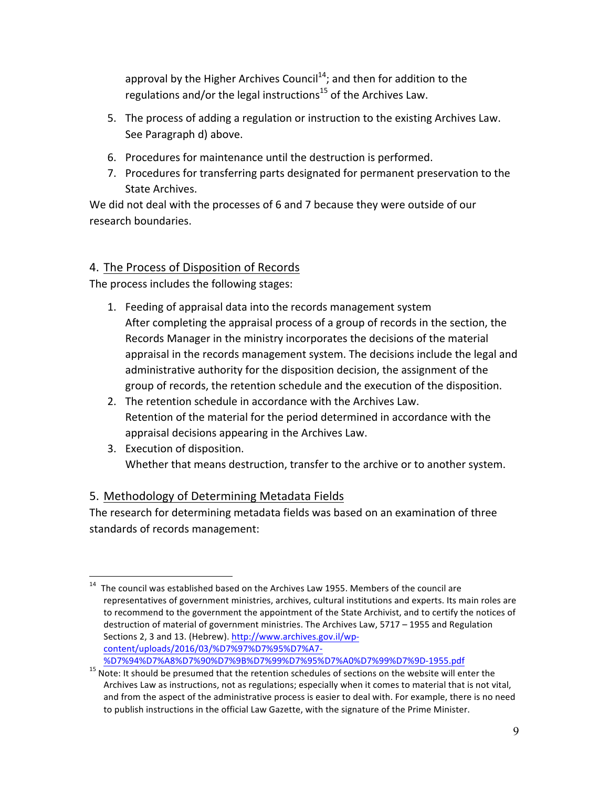approval by the Higher Archives Council<sup>14</sup>; and then for addition to the regulations and/or the legal instructions<sup>15</sup> of the Archives Law.

- 5. The process of adding a regulation or instruction to the existing Archives Law. See Paragraph d) above.
- 6. Procedures for maintenance until the destruction is performed.
- 7. Procedures for transferring parts designated for permanent preservation to the State Archives.

We did not deal with the processes of 6 and 7 because they were outside of our research boundaries.

# 4. The Process of Disposition of Records

The process includes the following stages:

- 1. Feeding of appraisal data into the records management system After completing the appraisal process of a group of records in the section, the Records Manager in the ministry incorporates the decisions of the material appraisal in the records management system. The decisions include the legal and administrative authority for the disposition decision, the assignment of the group of records, the retention schedule and the execution of the disposition.
- 2. The retention schedule in accordance with the Archives Law. Retention of the material for the period determined in accordance with the appraisal decisions appearing in the Archives Law.
- 3. Execution of disposition. Whether that means destruction, transfer to the archive or to another system.

# 5. Methodology of Determining Metadata Fields

The research for determining metadata fields was based on an examination of three standards of records management:

 $14$  The council was established based on the Archives Law 1955. Members of the council are representatives of government ministries, archives, cultural institutions and experts. Its main roles are to recommend to the government the appointment of the State Archivist, and to certify the notices of destruction of material of government ministries. The Archives Law, 5717 - 1955 and Regulation Sections 2, 3 and 13. (Hebrew). http://www.archives.gov.il/wpcontent/uploads/2016/03/%D7%97%D7%95%D7%A7-

<sup>%</sup>D7%94%D7%A8%D7%90%D7%9B%D7%99%D7%95%D7%A0%D7%99%D7%9D-1955.pdf<br><sup>15</sup> Note: It should be presumed that the retention schedules of sections on the website will enter the Archives Law as instructions, not as regulations; especially when it comes to material that is not vital, and from the aspect of the administrative process is easier to deal with. For example, there is no need to publish instructions in the official Law Gazette, with the signature of the Prime Minister.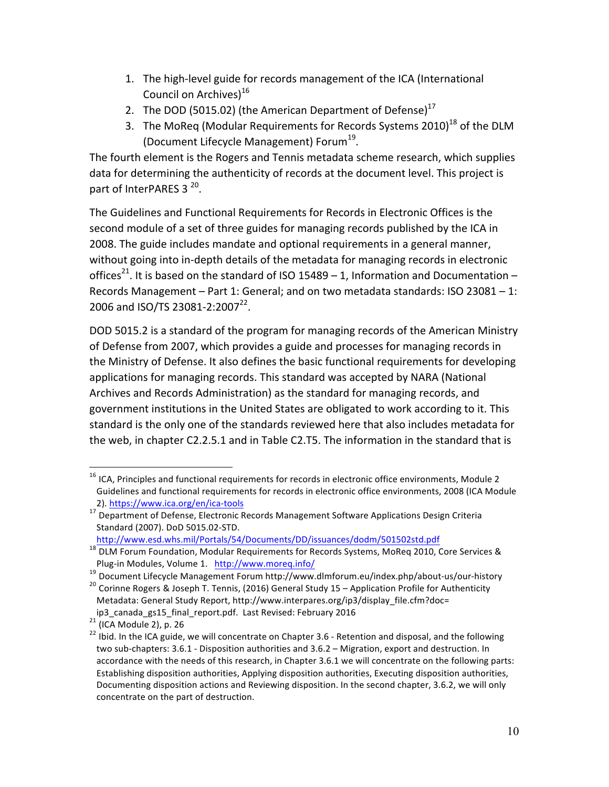- 1. The high-level guide for records management of the ICA (International Council on Archives) $16$
- 2. The DOD (5015.02) (the American Department of Defense) $17$
- 3. The MoReq (Modular Requirements for Records Systems 2010)<sup>18</sup> of the DLM (Document Lifecycle Management) Forum<sup>19</sup>.

The fourth element is the Rogers and Tennis metadata scheme research, which supplies data for determining the authenticity of records at the document level. This project is part of InterPARES  $3^{20}$ .

The Guidelines and Functional Requirements for Records in Electronic Offices is the second module of a set of three guides for managing records published by the ICA in 2008. The guide includes mandate and optional requirements in a general manner, without going into in-depth details of the metadata for managing records in electronic offices<sup>21</sup>. It is based on the standard of ISO 15489 – 1, Information and Documentation – Records Management  $-$  Part 1: General; and on two metadata standards: ISO 23081  $-$  1: 2006 and ISO/TS 23081-2:2007<sup>22</sup>.

DOD 5015.2 is a standard of the program for managing records of the American Ministry of Defense from 2007, which provides a guide and processes for managing records in the Ministry of Defense. It also defines the basic functional requirements for developing applications for managing records. This standard was accepted by NARA (National Archives and Records Administration) as the standard for managing records, and government institutions in the United States are obligated to work according to it. This standard is the only one of the standards reviewed here that also includes metadata for the web, in chapter C2.2.5.1 and in Table C2.T5. The information in the standard that is

 $16$  ICA, Principles and functional requirements for records in electronic office environments, Module 2 Guidelines and functional requirements for records in electronic office environments, 2008 (ICA Module 2). https://www.ica.org/en/ica-tools

<sup>&</sup>lt;sup>17</sup> Department of Defense, Electronic Records Management Software Applications Design Criteria Standard (2007). DoD 5015.02-STD.

http://www.esd.whs.mil/Portals/54/Documents/DD/issuances/dodm/501502std.pdf

<sup>18</sup> DLM Forum Foundation, Modular Requirements for Records Systems, MoReq 2010, Core Services & Plug-in Modules, Volume 1. http://www.moreq.info/<br><sup>19</sup> Document Lifecycle Management Forum http://www.dlmforum.eu/index.php/about-us/our-history<br><sup>20</sup> Corinne Rogers & Joseph T. Tennis, (2016) General Study 15 – Applicatio

Metadata: General Study Report, http://www.interpares.org/ip3/display\_file.cfm?doc=

ip3\_canada\_gs15\_final\_report.pdf. Last Revised: February 2016<br><sup>21</sup> (ICA Module 2), p. 26<br><sup>22</sup> Ibid. In the ICA guide, we will concentrate on Chapter 3.6 - Retention and disposal, and the following two sub-chapters: 3.6.1 - Disposition authorities and 3.6.2 - Migration, export and destruction. In accordance with the needs of this research, in Chapter 3.6.1 we will concentrate on the following parts: Establishing disposition authorities, Applying disposition authorities, Executing disposition authorities, Documenting disposition actions and Reviewing disposition. In the second chapter, 3.6.2, we will only concentrate on the part of destruction.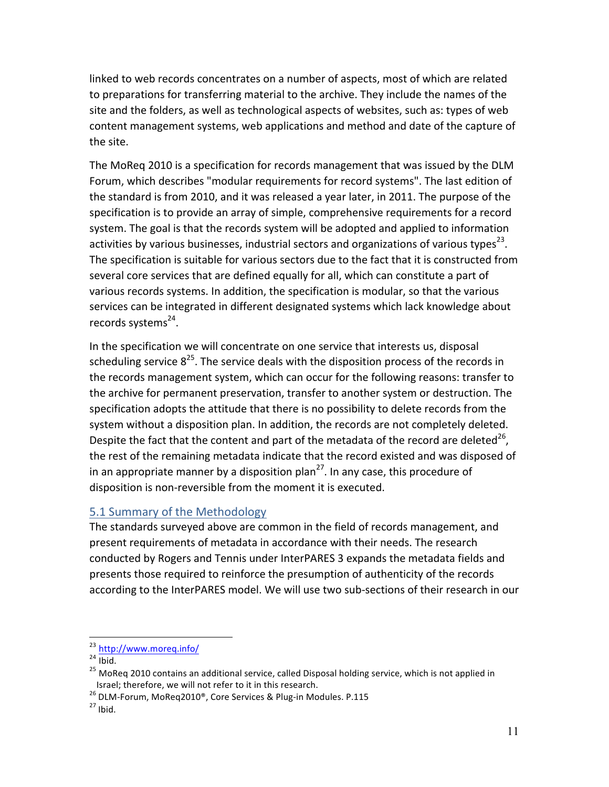linked to web records concentrates on a number of aspects, most of which are related to preparations for transferring material to the archive. They include the names of the site and the folders, as well as technological aspects of websites, such as: types of web content management systems, web applications and method and date of the capture of the site.

The MoReq 2010 is a specification for records management that was issued by the DLM Forum, which describes "modular requirements for record systems". The last edition of the standard is from 2010, and it was released a year later, in 2011. The purpose of the specification is to provide an array of simple, comprehensive requirements for a record system. The goal is that the records system will be adopted and applied to information activities by various businesses, industrial sectors and organizations of various types<sup>23</sup>. The specification is suitable for various sectors due to the fact that it is constructed from several core services that are defined equally for all, which can constitute a part of various records systems. In addition, the specification is modular, so that the various services can be integrated in different designated systems which lack knowledge about records systems $^{24}$ .

In the specification we will concentrate on one service that interests us, disposal scheduling service  $8^{25}$ . The service deals with the disposition process of the records in the records management system, which can occur for the following reasons: transfer to the archive for permanent preservation, transfer to another system or destruction. The specification adopts the attitude that there is no possibility to delete records from the system without a disposition plan. In addition, the records are not completely deleted. Despite the fact that the content and part of the metadata of the record are deleted<sup>26</sup>, the rest of the remaining metadata indicate that the record existed and was disposed of in an appropriate manner by a disposition plan<sup>27</sup>. In any case, this procedure of disposition is non-reversible from the moment it is executed.

#### 5.1 Summary of the Methodology

The standards surveyed above are common in the field of records management, and present requirements of metadata in accordance with their needs. The research conducted by Rogers and Tennis under InterPARES 3 expands the metadata fields and presents those required to reinforce the presumption of authenticity of the records according to the InterPARES model. We will use two sub-sections of their research in our

 $^{23}$  http://www.moreq.info/<br><sup>24</sup> Ibid.<br><sup>25</sup> MoReq 2010 contains an additional service, called Disposal holding service, which is not applied in Israel; therefore, we will not refer to it in this research.

<sup>26</sup> DLM-Forum, MoReq2010<sup>®</sup>, Core Services & Plug-in Modules. P.115  $27$  Ibid.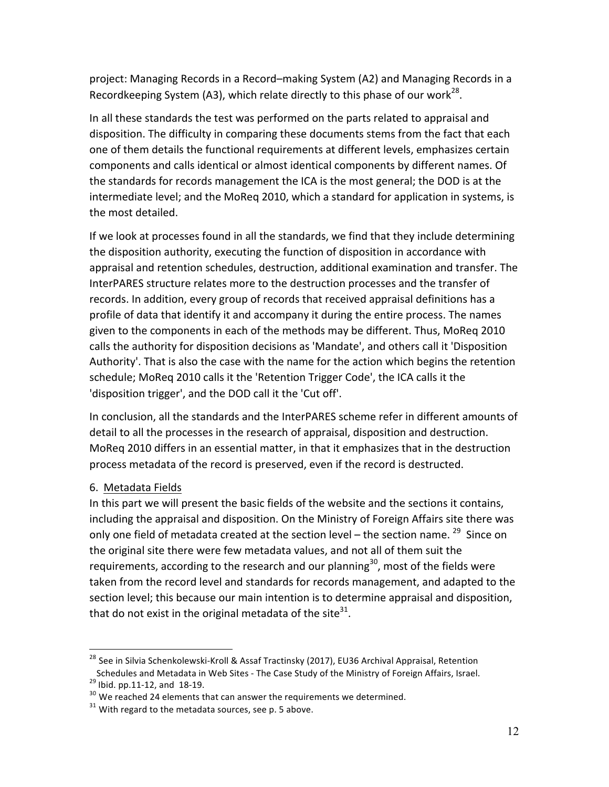project: Managing Records in a Record–making System (A2) and Managing Records in a Recordkeeping System (A3), which relate directly to this phase of our work<sup>28</sup>.

In all these standards the test was performed on the parts related to appraisal and disposition. The difficulty in comparing these documents stems from the fact that each one of them details the functional requirements at different levels, emphasizes certain components and calls identical or almost identical components by different names. Of the standards for records management the ICA is the most general; the DOD is at the intermediate level; and the MoReq 2010, which a standard for application in systems, is the most detailed.

If we look at processes found in all the standards, we find that they include determining the disposition authority, executing the function of disposition in accordance with appraisal and retention schedules, destruction, additional examination and transfer. The InterPARES structure relates more to the destruction processes and the transfer of records. In addition, every group of records that received appraisal definitions has a profile of data that identify it and accompany it during the entire process. The names given to the components in each of the methods may be different. Thus, MoReq 2010 calls the authority for disposition decisions as 'Mandate', and others call it 'Disposition Authority'. That is also the case with the name for the action which begins the retention schedule; MoReq 2010 calls it the 'Retention Trigger Code', the ICA calls it the 'disposition trigger', and the DOD call it the 'Cut off'.

In conclusion, all the standards and the InterPARES scheme refer in different amounts of detail to all the processes in the research of appraisal, disposition and destruction. MoReq 2010 differs in an essential matter, in that it emphasizes that in the destruction process metadata of the record is preserved, even if the record is destructed.

#### 6. Metadata Fields

In this part we will present the basic fields of the website and the sections it contains, including the appraisal and disposition. On the Ministry of Foreign Affairs site there was only one field of metadata created at the section level – the section name.  $^{29}$  Since on the original site there were few metadata values, and not all of them suit the requirements, according to the research and our planning<sup>30</sup>, most of the fields were taken from the record level and standards for records management, and adapted to the section level; this because our main intention is to determine appraisal and disposition, that do not exist in the original metadata of the site<sup>31</sup>.

<sup>&</sup>lt;sup>28</sup> See in Silvia Schenkolewski-Kroll & Assaf Tractinsky (2017), EU36 Archival Appraisal, Retention Schedules and Metadata in Web Sites - The Case Study of the Ministry of Foreign Affairs, Israel.<br><sup>29</sup> Ibid. pp.11-12, and 18-19.<br><sup>30</sup> We reached 24 elements that can answer the requirements we determined.<br><sup>31</sup> With regard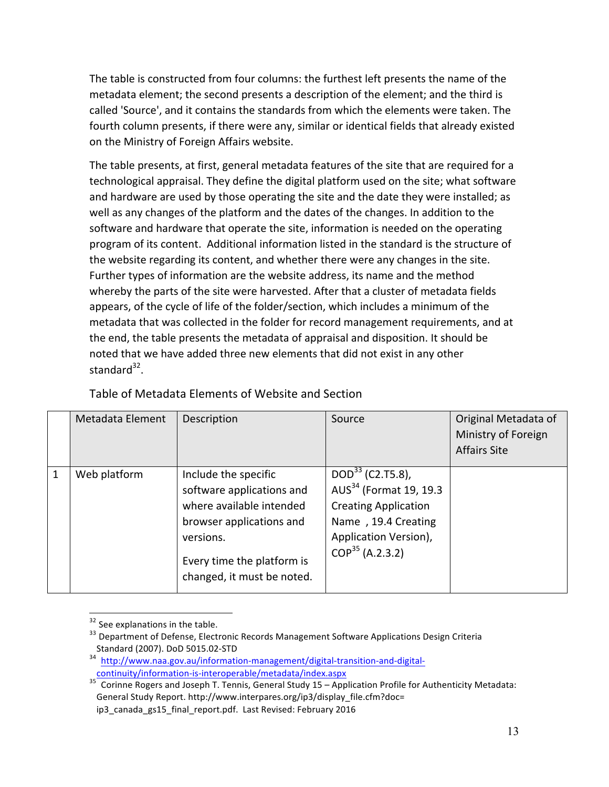The table is constructed from four columns: the furthest left presents the name of the metadata element; the second presents a description of the element; and the third is called 'Source', and it contains the standards from which the elements were taken. The fourth column presents, if there were any, similar or identical fields that already existed on the Ministry of Foreign Affairs website.

The table presents, at first, general metadata features of the site that are required for a technological appraisal. They define the digital platform used on the site; what software and hardware are used by those operating the site and the date they were installed; as well as any changes of the platform and the dates of the changes. In addition to the software and hardware that operate the site, information is needed on the operating program of its content. Additional information listed in the standard is the structure of the website regarding its content, and whether there were any changes in the site. Further types of information are the website address, its name and the method whereby the parts of the site were harvested. After that a cluster of metadata fields appears, of the cycle of life of the folder/section, which includes a minimum of the metadata that was collected in the folder for record management requirements, and at the end, the table presents the metadata of appraisal and disposition. It should be noted that we have added three new elements that did not exist in any other standard $32$ .

|   | Metadata Element | Description                                                                                                                                                                        | Source                                                                                                                                                        | Original Metadata of<br>Ministry of Foreign<br><b>Affairs Site</b> |
|---|------------------|------------------------------------------------------------------------------------------------------------------------------------------------------------------------------------|---------------------------------------------------------------------------------------------------------------------------------------------------------------|--------------------------------------------------------------------|
| 1 | Web platform     | Include the specific<br>software applications and<br>where available intended<br>browser applications and<br>versions.<br>Every time the platform is<br>changed, it must be noted. | $DOD33$ (C2.T5.8),<br>AUS <sup>34</sup> (Format 19, 19.3)<br><b>Creating Application</b><br>Name, 19.4 Creating<br>Application Version),<br>$COP35$ (A.2.3.2) |                                                                    |

Table of Metadata Elements of Website and Section

 $32$  See explanations in the table.<br> $33$  Department of Defense, Electronic Records Management Software Applications Design Criteria

Standard (2007). DoD 5015.02-STD<br><sup>4</sup> http://www.naa.gov.au/information-management/digital-transition-and-digital-<br>continuity/information-is-interoperable/metadata/index.aspx

Corinne Rogers and Joseph T. Tennis, General Study 15 - Application Profile for Authenticity Metadata: General Study Report. http://www.interpares.org/ip3/display\_file.cfm?doc=

ip3\_canada\_gs15\_final\_report.pdf. Last Revised: February 2016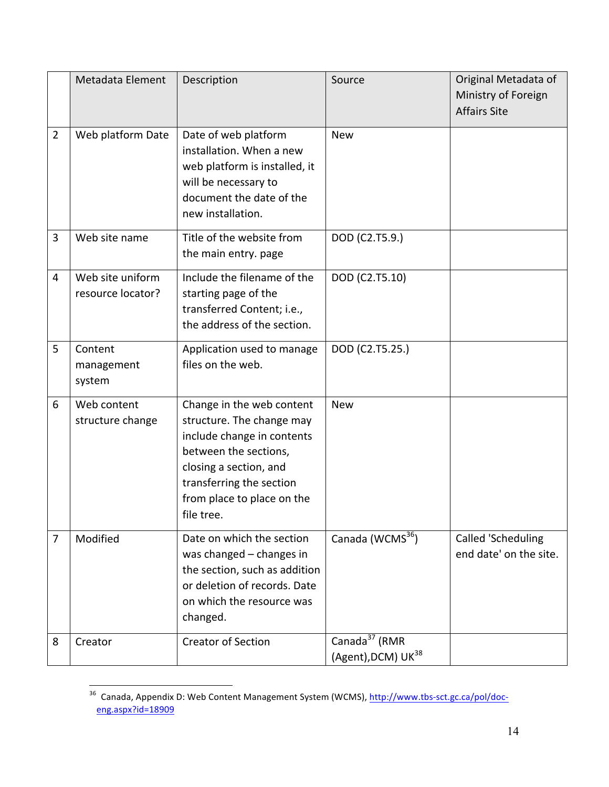|                | Metadata Element                      | Description                                                                                                                                                                                                     | Source                                                      | Original Metadata of<br>Ministry of Foreign<br><b>Affairs Site</b> |
|----------------|---------------------------------------|-----------------------------------------------------------------------------------------------------------------------------------------------------------------------------------------------------------------|-------------------------------------------------------------|--------------------------------------------------------------------|
| $\overline{2}$ | Web platform Date                     | Date of web platform<br>installation. When a new<br>web platform is installed, it<br>will be necessary to<br>document the date of the<br>new installation.                                                      | <b>New</b>                                                  |                                                                    |
| 3              | Web site name                         | Title of the website from<br>the main entry. page                                                                                                                                                               | DOD (C2.T5.9.)                                              |                                                                    |
| 4              | Web site uniform<br>resource locator? | Include the filename of the<br>starting page of the<br>transferred Content; i.e.,<br>the address of the section.                                                                                                | DOD (C2.T5.10)                                              |                                                                    |
| 5              | Content<br>management<br>system       | Application used to manage<br>files on the web.                                                                                                                                                                 | DOD (C2.T5.25.)                                             |                                                                    |
| 6              | Web content<br>structure change       | Change in the web content<br>structure. The change may<br>include change in contents<br>between the sections,<br>closing a section, and<br>transferring the section<br>from place to place on the<br>file tree. | <b>New</b>                                                  |                                                                    |
| 7              | Modified                              | Date on which the section<br>was changed - changes in<br>the section, such as addition<br>or deletion of records. Date<br>on which the resource was<br>changed.                                                 | Canada (WCMS <sup>36</sup> )                                | Called 'Scheduling<br>end date' on the site.                       |
| 8              | Creator                               | <b>Creator of Section</b>                                                                                                                                                                                       | Canada <sup>37</sup> (RMR<br>(Agent), DCM) UK <sup>38</sup> |                                                                    |

and Canada, Appendix D: Web Content Management System (WCMS), http://www.tbs-sct.gc.ca/pol/doc-<br><sup>36</sup> Canada, Appendix D: Web Content Management System (WCMS), http://www.tbs-sct.gc.ca/pol/doceng.aspx?id=18909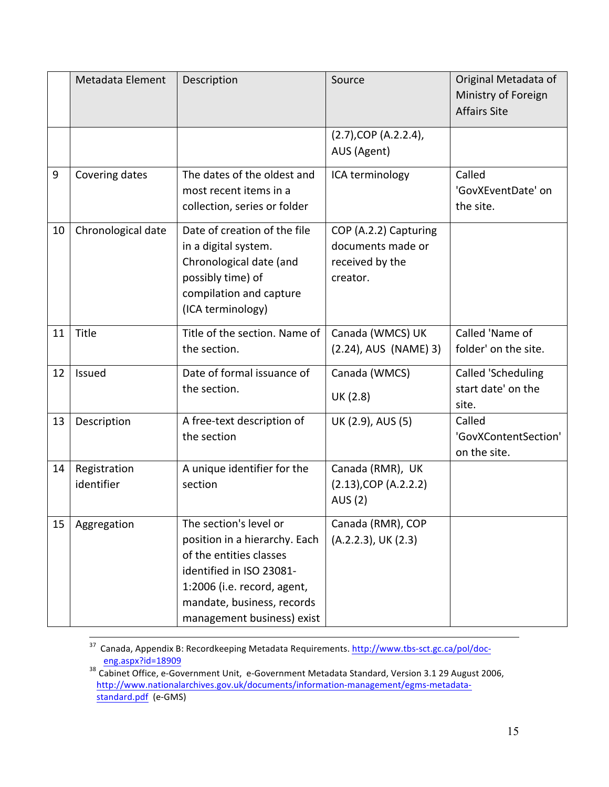|    | Metadata Element           | Description                                                                                                                                                                                               | Source                                                                    | Original Metadata of<br>Ministry of Foreign<br><b>Affairs Site</b> |
|----|----------------------------|-----------------------------------------------------------------------------------------------------------------------------------------------------------------------------------------------------------|---------------------------------------------------------------------------|--------------------------------------------------------------------|
|    |                            |                                                                                                                                                                                                           | $(2.7)$ , COP $(A.2.2.4)$ ,<br>AUS (Agent)                                |                                                                    |
| 9  | Covering dates             | The dates of the oldest and<br>most recent items in a<br>collection, series or folder                                                                                                                     | ICA terminology                                                           | Called<br>'GovXEventDate' on<br>the site.                          |
| 10 | Chronological date         | Date of creation of the file<br>in a digital system.<br>Chronological date (and<br>possibly time) of<br>compilation and capture<br>(ICA terminology)                                                      | COP (A.2.2) Capturing<br>documents made or<br>received by the<br>creator. |                                                                    |
| 11 | Title                      | Title of the section. Name of<br>the section.                                                                                                                                                             | Canada (WMCS) UK<br>(2.24), AUS (NAME) 3)                                 | Called 'Name of<br>folder' on the site.                            |
| 12 | Issued                     | Date of formal issuance of<br>the section.                                                                                                                                                                | Canada (WMCS)<br>UK (2.8)                                                 | Called 'Scheduling<br>start date' on the<br>site.                  |
| 13 | Description                | A free-text description of<br>the section                                                                                                                                                                 | UK (2.9), AUS (5)                                                         | Called<br>'GovXContentSection'<br>on the site.                     |
| 14 | Registration<br>identifier | A unique identifier for the<br>section                                                                                                                                                                    | Canada (RMR), UK<br>$(2.13)$ , COP $(A.2.2.2)$<br><b>AUS (2)</b>          |                                                                    |
| 15 | Aggregation                | The section's level or<br>position in a hierarchy. Each<br>of the entities classes<br>identified in ISO 23081-<br>1:2006 (i.e. record, agent,<br>mandate, business, records<br>management business) exist | Canada (RMR), COP<br>(A.2.2.3), UK (2.3)                                  |                                                                    |

<sup>37</sup> Canada, Appendix B: Recordkeeping Metadata Requirements. http://www.tbs-sct.gc.ca/pol/doc-

eng.aspx?id=18909<br><sup>38</sup> Cabinet Office, e-Government Unit, e-Government Metadata Standard, Version 3.1 29 August 2006, http://www.nationalarchives.gov.uk/documents/information-management/egms-metadatastandard.pdf (e-GMS)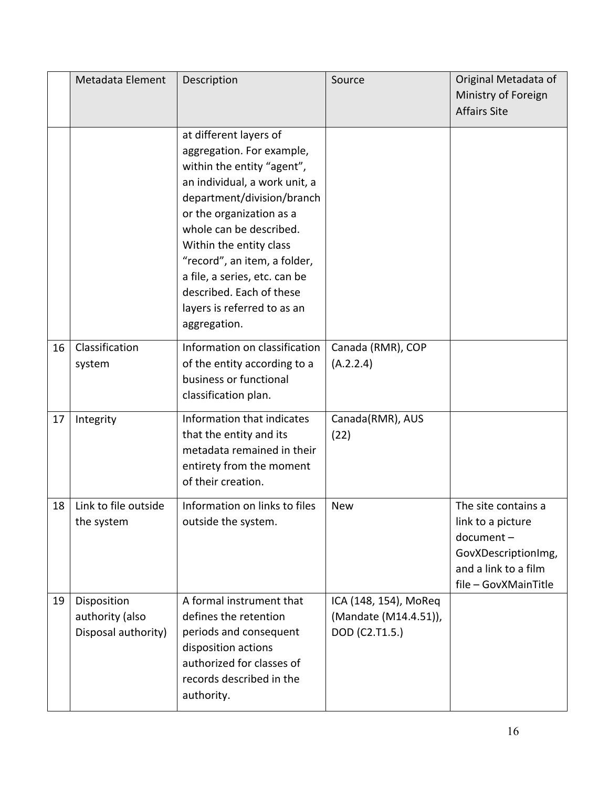|    | Metadata Element                                      | Description                                                                                                                                                                                                                                                                                                                                                                    | Source                                                           | Original Metadata of<br>Ministry of Foreign<br><b>Affairs Site</b>                                                           |
|----|-------------------------------------------------------|--------------------------------------------------------------------------------------------------------------------------------------------------------------------------------------------------------------------------------------------------------------------------------------------------------------------------------------------------------------------------------|------------------------------------------------------------------|------------------------------------------------------------------------------------------------------------------------------|
|    |                                                       | at different layers of<br>aggregation. For example,<br>within the entity "agent",<br>an individual, a work unit, a<br>department/division/branch<br>or the organization as a<br>whole can be described.<br>Within the entity class<br>"record", an item, a folder,<br>a file, a series, etc. can be<br>described. Each of these<br>layers is referred to as an<br>aggregation. |                                                                  |                                                                                                                              |
| 16 | Classification<br>system                              | Information on classification<br>of the entity according to a<br>business or functional<br>classification plan.                                                                                                                                                                                                                                                                | Canada (RMR), COP<br>(A.2.2.4)                                   |                                                                                                                              |
| 17 | Integrity                                             | Information that indicates<br>that the entity and its<br>metadata remained in their<br>entirety from the moment<br>of their creation.                                                                                                                                                                                                                                          | Canada(RMR), AUS<br>(22)                                         |                                                                                                                              |
| 18 | Link to file outside<br>the system                    | Information on links to files<br>outside the system.                                                                                                                                                                                                                                                                                                                           | <b>New</b>                                                       | The site contains a<br>link to a picture<br>document-<br>GovXDescriptionImg,<br>and a link to a film<br>file - GovXMainTitle |
| 19 | Disposition<br>authority (also<br>Disposal authority) | A formal instrument that<br>defines the retention<br>periods and consequent<br>disposition actions<br>authorized for classes of<br>records described in the<br>authority.                                                                                                                                                                                                      | ICA (148, 154), MoReq<br>(Mandate (M14.4.51)),<br>DOD (C2.T1.5.) |                                                                                                                              |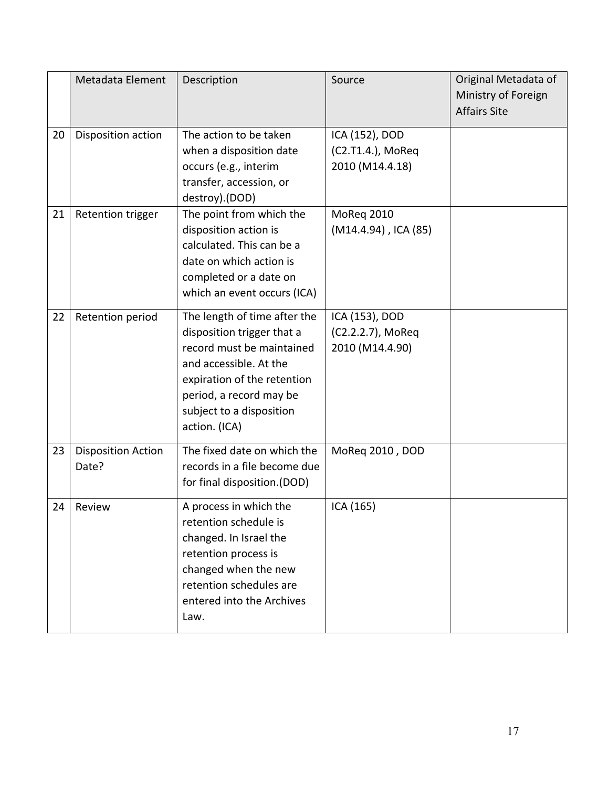|    | Metadata Element                   | Description                                                                                                                                                                                                              | Source                                                 | Original Metadata of<br>Ministry of Foreign<br><b>Affairs Site</b> |
|----|------------------------------------|--------------------------------------------------------------------------------------------------------------------------------------------------------------------------------------------------------------------------|--------------------------------------------------------|--------------------------------------------------------------------|
| 20 | Disposition action                 | The action to be taken<br>when a disposition date<br>occurs (e.g., interim<br>transfer, accession, or<br>destroy).(DOD)                                                                                                  | ICA (152), DOD<br>(C2.T1.4.), MoReq<br>2010 (M14.4.18) |                                                                    |
| 21 | <b>Retention trigger</b>           | The point from which the<br>disposition action is<br>calculated. This can be a<br>date on which action is<br>completed or a date on<br>which an event occurs (ICA)                                                       | MoReg 2010<br>(M14.4.94), ICA (85)                     |                                                                    |
| 22 | Retention period                   | The length of time after the<br>disposition trigger that a<br>record must be maintained<br>and accessible. At the<br>expiration of the retention<br>period, a record may be<br>subject to a disposition<br>action. (ICA) | ICA (153), DOD<br>(C2.2.2.7), MoReq<br>2010 (M14.4.90) |                                                                    |
| 23 | <b>Disposition Action</b><br>Date? | The fixed date on which the<br>records in a file become due<br>for final disposition.(DOD)                                                                                                                               | MoReq 2010, DOD                                        |                                                                    |
| 24 | Review                             | A process in which the<br>retention schedule is<br>changed. In Israel the<br>retention process is<br>changed when the new<br>retention schedules are<br>entered into the Archives<br>Law.                                | ICA (165)                                              |                                                                    |